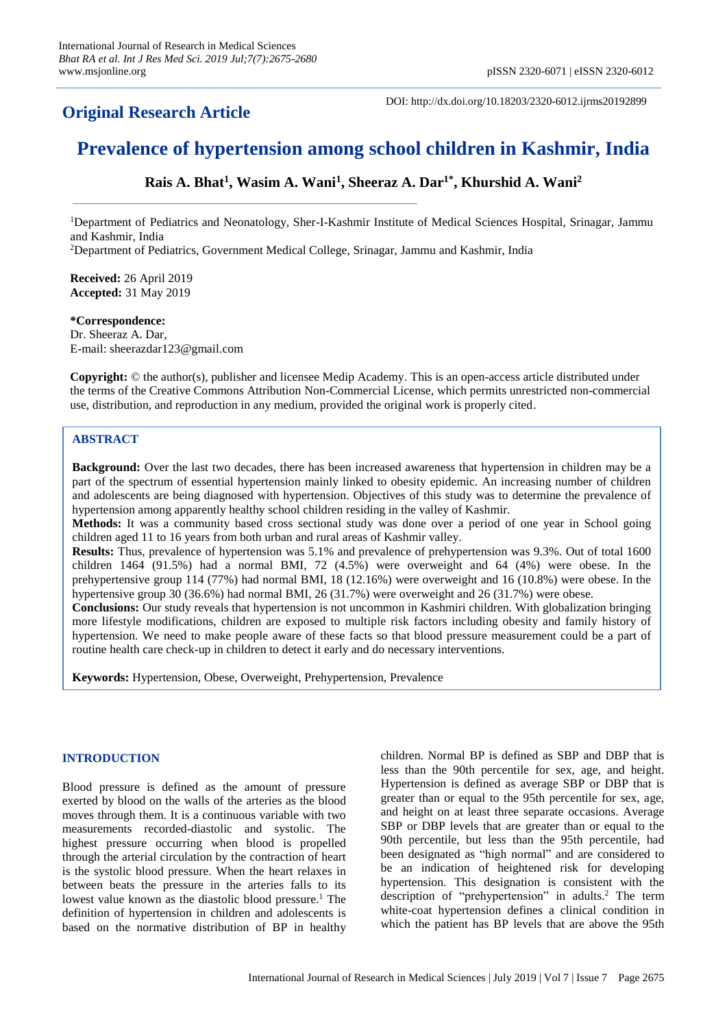## **Original Research Article**

DOI: http://dx.doi.org/10.18203/2320-6012.ijrms20192899

# **Prevalence of hypertension among school children in Kashmir, India**

**Rais A. Bhat<sup>1</sup> , Wasim A. Wani<sup>1</sup> , Sheeraz A. Dar1\* , Khurshid A. Wani<sup>2</sup>**

<sup>1</sup>Department of Pediatrics and Neonatology, Sher-I-Kashmir Institute of Medical Sciences Hospital, Srinagar, Jammu and Kashmir, India

<sup>2</sup>Department of Pediatrics, Government Medical College, Srinagar, Jammu and Kashmir, India

**Received:** 26 April 2019 **Accepted:** 31 May 2019

#### **\*Correspondence:**

Dr. Sheeraz A. Dar, E-mail: sheerazdar123@gmail.com

**Copyright:** © the author(s), publisher and licensee Medip Academy. This is an open-access article distributed under the terms of the Creative Commons Attribution Non-Commercial License, which permits unrestricted non-commercial use, distribution, and reproduction in any medium, provided the original work is properly cited.

#### **ABSTRACT**

**Background:** Over the last two decades, there has been increased awareness that hypertension in children may be a part of the spectrum of essential hypertension mainly linked to obesity epidemic. An increasing number of children and adolescents are being diagnosed with hypertension. Objectives of this study was to determine the prevalence of hypertension among apparently healthy school children residing in the valley of Kashmir.

**Methods:** It was a community based cross sectional study was done over a period of one year in School going children aged 11 to 16 years from both urban and rural areas of Kashmir valley.

**Results:** Thus, prevalence of hypertension was 5.1% and prevalence of prehypertension was 9.3%. Out of total 1600 children 1464 (91.5%) had a normal BMI, 72 (4.5%) were overweight and 64 (4%) were obese. In the prehypertensive group 114 (77%) had normal BMI, 18 (12.16%) were overweight and 16 (10.8%) were obese. In the hypertensive group 30 (36.6%) had normal BMI, 26 (31.7%) were overweight and 26 (31.7%) were obese.

**Conclusions:** Our study reveals that hypertension is not uncommon in Kashmiri children. With globalization bringing more lifestyle modifications, children are exposed to multiple risk factors including obesity and family history of hypertension. We need to make people aware of these facts so that blood pressure measurement could be a part of routine health care check-up in children to detect it early and do necessary interventions.

**Keywords:** Hypertension, Obese, Overweight, Prehypertension, Prevalence

#### **INTRODUCTION**

Blood pressure is defined as the amount of pressure exerted by blood on the walls of the arteries as the blood moves through them. It is a continuous variable with two measurements recorded-diastolic and systolic. The highest pressure occurring when blood is propelled through the arterial circulation by the contraction of heart is the systolic blood pressure. When the heart relaxes in between beats the pressure in the arteries falls to its lowest value known as the diastolic blood pressure.<sup>1</sup> The definition of hypertension in children and adolescents is based on the normative distribution of BP in healthy children. Normal BP is defined as SBP and DBP that is less than the 90th percentile for sex, age, and height. Hypertension is defined as average SBP or DBP that is greater than or equal to the 95th percentile for sex, age, and height on at least three separate occasions. Average SBP or DBP levels that are greater than or equal to the 90th percentile, but less than the 95th percentile, had been designated as "high normal" and are considered to be an indication of heightened risk for developing hypertension. This designation is consistent with the description of "prehypertension" in adults.<sup>2</sup> The term white-coat hypertension defines a clinical condition in which the patient has BP levels that are above the 95th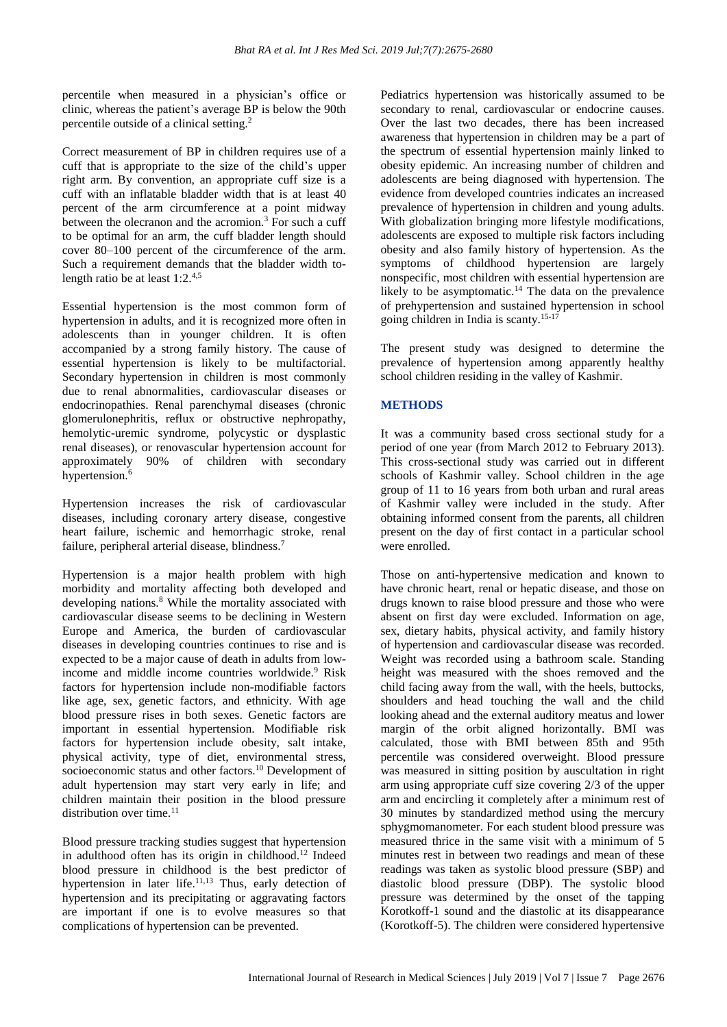percentile when measured in a physician's office or clinic, whereas the patient's average BP is below the 90th percentile outside of a clinical setting.<sup>2</sup>

Correct measurement of BP in children requires use of a cuff that is appropriate to the size of the child's upper right arm. By convention, an appropriate cuff size is a cuff with an inflatable bladder width that is at least 40 percent of the arm circumference at a point midway between the olecranon and the acromion.<sup>3</sup> For such a cuff to be optimal for an arm, the cuff bladder length should cover 80–100 percent of the circumference of the arm. Such a requirement demands that the bladder width tolength ratio be at least 1:2.4,5

Essential hypertension is the most common form of hypertension in adults, and it is recognized more often in adolescents than in younger children. It is often accompanied by a strong family history. The cause of essential hypertension is likely to be multifactorial. Secondary hypertension in children is most commonly due to renal abnormalities, cardiovascular diseases or endocrinopathies. Renal parenchymal diseases (chronic glomerulonephritis, reflux or obstructive nephropathy, hemolytic-uremic syndrome, polycystic or dysplastic renal diseases), or renovascular hypertension account for approximately 90% of children with secondary hypertension.<sup>6</sup>

Hypertension increases the risk of cardiovascular diseases, including coronary artery disease, congestive heart failure, ischemic and hemorrhagic stroke, renal failure, peripheral arterial disease, blindness.<sup>7</sup>

Hypertension is a major health problem with high morbidity and mortality affecting both developed and developing nations.<sup>8</sup> While the mortality associated with cardiovascular disease seems to be declining in Western Europe and America, the burden of cardiovascular diseases in developing countries continues to rise and is expected to be a major cause of death in adults from lowincome and middle income countries worldwide.<sup>9</sup> Risk factors for hypertension include non-modifiable factors like age, sex, genetic factors, and ethnicity. With age blood pressure rises in both sexes. Genetic factors are important in essential hypertension. Modifiable risk factors for hypertension include obesity, salt intake, physical activity, type of diet, environmental stress, socioeconomic status and other factors.<sup>10</sup> Development of adult hypertension may start very early in life; and children maintain their position in the blood pressure distribution over time.<sup>11</sup>

Blood pressure tracking studies suggest that hypertension in adulthood often has its origin in childhood.<sup>12</sup> Indeed blood pressure in childhood is the best predictor of hypertension in later life.<sup>11,13</sup> Thus, early detection of hypertension and its precipitating or aggravating factors are important if one is to evolve measures so that complications of hypertension can be prevented.

Pediatrics hypertension was historically assumed to be secondary to renal, cardiovascular or endocrine causes. Over the last two decades, there has been increased awareness that hypertension in children may be a part of the spectrum of essential hypertension mainly linked to obesity epidemic. An increasing number of children and adolescents are being diagnosed with hypertension. The evidence from developed countries indicates an increased prevalence of hypertension in children and young adults. With globalization bringing more lifestyle modifications, adolescents are exposed to multiple risk factors including obesity and also family history of hypertension. As the symptoms of childhood hypertension are largely nonspecific, most children with essential hypertension are likely to be asymptomatic.<sup>14</sup> The data on the prevalence of prehypertension and sustained hypertension in school going children in India is scanty.15-17

The present study was designed to determine the prevalence of hypertension among apparently healthy school children residing in the valley of Kashmir.

## **METHODS**

It was a community based cross sectional study for a period of one year (from March 2012 to February 2013). This cross-sectional study was carried out in different schools of Kashmir valley. School children in the age group of 11 to 16 years from both urban and rural areas of Kashmir valley were included in the study. After obtaining informed consent from the parents, all children present on the day of first contact in a particular school were enrolled.

Those on anti-hypertensive medication and known to have chronic heart, renal or hepatic disease, and those on drugs known to raise blood pressure and those who were absent on first day were excluded. Information on age, sex, dietary habits, physical activity, and family history of hypertension and cardiovascular disease was recorded. Weight was recorded using a bathroom scale. Standing height was measured with the shoes removed and the child facing away from the wall, with the heels, buttocks, shoulders and head touching the wall and the child looking ahead and the external auditory meatus and lower margin of the orbit aligned horizontally. BMI was calculated, those with BMI between 85th and 95th percentile was considered overweight. Blood pressure was measured in sitting position by auscultation in right arm using appropriate cuff size covering 2/3 of the upper arm and encircling it completely after a minimum rest of 30 minutes by standardized method using the mercury sphygmomanometer. For each student blood pressure was measured thrice in the same visit with a minimum of 5 minutes rest in between two readings and mean of these readings was taken as systolic blood pressure (SBP) and diastolic blood pressure (DBP). The systolic blood pressure was determined by the onset of the tapping Korotkoff-1 sound and the diastolic at its disappearance (Korotkoff-5). The children were considered hypertensive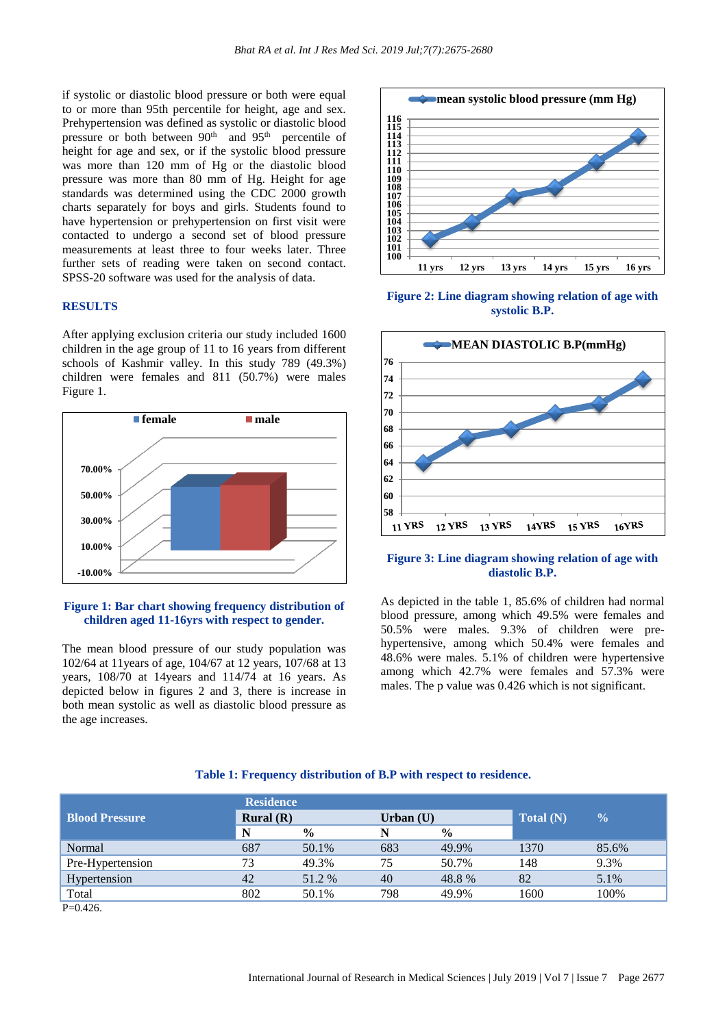if systolic or diastolic blood pressure or both were equal to or more than 95th percentile for height, age and sex. Prehypertension was defined as systolic or diastolic blood pressure or both between 90<sup>th</sup> and 95<sup>th</sup> percentile of height for age and sex, or if the systolic blood pressure was more than 120 mm of Hg or the diastolic blood pressure was more than 80 mm of Hg. Height for age standards was determined using the CDC 2000 growth charts separately for boys and girls. Students found to have hypertension or prehypertension on first visit were contacted to undergo a second set of blood pressure measurements at least three to four weeks later. Three further sets of reading were taken on second contact. SPSS-20 software was used for the analysis of data.

#### **RESULTS**

After applying exclusion criteria our study included 1600 children in the age group of 11 to 16 years from different schools of Kashmir valley. In this study 789 (49.3%) children were females and 811 (50.7%) were males Figure 1.



#### **Figure 1: Bar chart showing frequency distribution of children aged 11-16yrs with respect to gender.**

The mean blood pressure of our study population was 102/64 at 11years of age, 104/67 at 12 years, 107/68 at 13 years, 108/70 at 14years and 114/74 at 16 years. As depicted below in figures 2 and 3, there is increase in both mean systolic as well as diastolic blood pressure as the age increases.



**Figure 2: Line diagram showing relation of age with systolic B.P.**



#### **Figure 3: Line diagram showing relation of age with diastolic B.P.**

As depicted in the table 1, 85.6% of children had normal blood pressure, among which 49.5% were females and 50.5% were males. 9.3% of children were prehypertensive, among which 50.4% were females and 48.6% were males. 5.1% of children were hypertensive among which 42.7% were females and 57.3% were males. The p value was 0.426 which is not significant.

#### **Table 1: Frequency distribution of B.P with respect to residence.**

|                       | <b>Residence</b> |               |             | $\frac{0}{0}$ |             |       |
|-----------------------|------------------|---------------|-------------|---------------|-------------|-------|
| <b>Blood Pressure</b> | Rural $(R)$      |               | Urban $(U)$ |               | Total $(N)$ |       |
|                       | N                | $\frac{6}{9}$ | N           | $\frac{0}{0}$ |             |       |
| Normal                | 687              | 50.1%         | 683         | 49.9%         | 1370        | 85.6% |
| Pre-Hypertension      | 73               | 49.3%         | 75          | 50.7%         | 148         | 9.3%  |
| Hypertension          | 42               | 51.2 %        | 40          | 48.8%         | 82          | 5.1%  |
| Total                 | 802              | 50.1%         | 798         | 49.9%         | 1600        | 100%  |
| P(A)                  |                  |               |             |               |             |       |

 $P=0.426$ .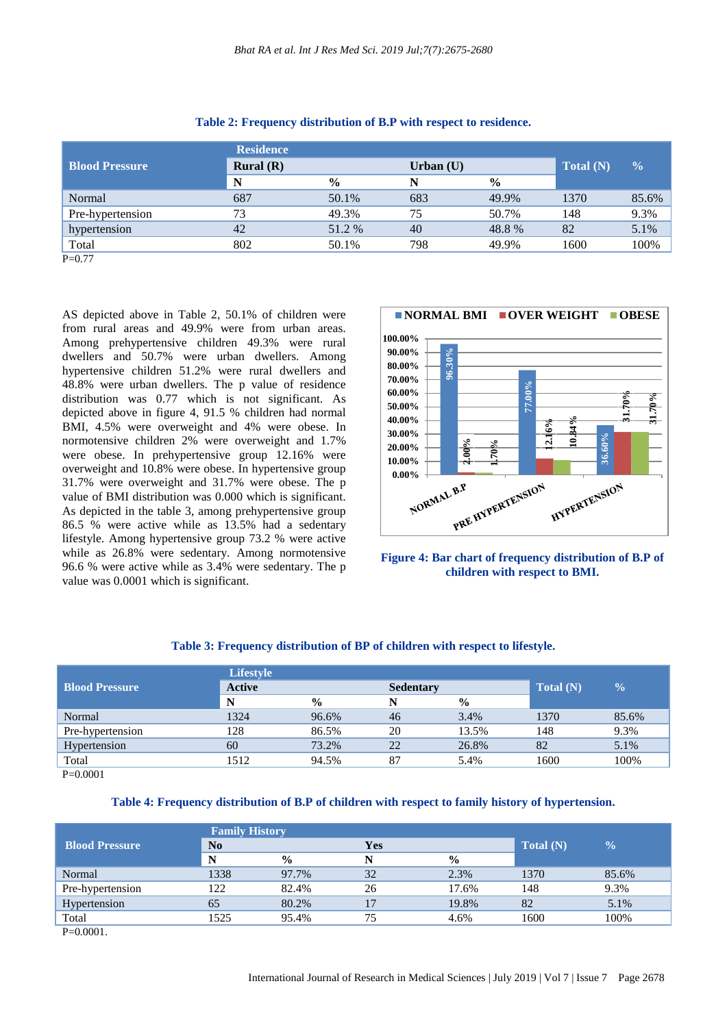| <b>Residence</b> |               |             |               |           |               |
|------------------|---------------|-------------|---------------|-----------|---------------|
| Rural(R)         |               | Urban $(U)$ |               | Total (N) | $\frac{0}{0}$ |
| N                | $\frac{0}{0}$ | N           | $\frac{0}{0}$ |           |               |
| 687              | 50.1%         | 683         | 49.9%         | 1370      | 85.6%         |
| 73               | 49.3%         | 75          | 50.7%         | 148       | 9.3%          |
| 42               | 51.2 %        | 40          | 48.8%         | 82        | 5.1%          |
| 802              | 50.1%         | 798         | 49.9%         | 1600      | 100%          |
|                  |               |             |               |           |               |

|  | Table 2: Frequency distribution of B.P with respect to residence. |  |  |
|--|-------------------------------------------------------------------|--|--|
|  |                                                                   |  |  |

P=0.77

AS depicted above in Table 2, 50.1% of children were from rural areas and 49.9% were from urban areas. Among prehypertensive children 49.3% were rural dwellers and 50.7% were urban dwellers. Among hypertensive children 51.2% were rural dwellers and 48.8% were urban dwellers. The p value of residence distribution was 0.77 which is not significant. As depicted above in figure 4, 91.5 % children had normal BMI, 4.5% were overweight and 4% were obese. In normotensive children 2% were overweight and 1.7% were obese. In prehypertensive group 12.16% were overweight and 10.8% were obese. In hypertensive group 31.7% were overweight and 31.7% were obese. The p value of BMI distribution was 0.000 which is significant. As depicted in the table 3, among prehypertensive group 86.5 % were active while as 13.5% had a sedentary lifestyle. Among hypertensive group 73.2 % were active while as 26.8% were sedentary. Among normotensive 96.6 % were active while as 3.4% were sedentary. The p value was 0.0001 which is significant.



**Figure 4: Bar chart of frequency distribution of B.P of children with respect to BMI.**

|                       | <b>Lifestyle</b> |               | Total (N) | $\frac{1}{2}$ |                  |       |
|-----------------------|------------------|---------------|-----------|---------------|------------------|-------|
| <b>Blood Pressure</b> | <b>Active</b>    |               |           |               | <b>Sedentary</b> |       |
|                       | N                | $\frac{6}{9}$ |           | $\frac{0}{0}$ |                  |       |
| Normal                | 1324             | 96.6%         | 46        | 3.4%          | 1370             | 85.6% |
| Pre-hypertension      | 128              | 86.5%         | 20        | 13.5%         | 148              | 9.3%  |
| Hypertension          | 60               | 73.2%         | 22        | 26.8%         | 82               | 5.1%  |
| Total                 | 1512             | 94.5%         | 87        | 5.4%          | 1600             | 100%  |
|                       |                  |               |           |               |                  |       |

## **Table 3: Frequency distribution of BP of children with respect to lifestyle.**

P=0.0001

#### **Table 4: Frequency distribution of B.P of children with respect to family history of hypertension.**

|                       | <b>Family History</b> |               | Total (N) | $\frac{0}{0}$ |            |       |
|-----------------------|-----------------------|---------------|-----------|---------------|------------|-------|
| <b>Blood Pressure</b> | No                    |               |           |               | <b>Yes</b> |       |
|                       | N                     | $\frac{0}{0}$ |           | $\frac{6}{6}$ |            |       |
| Normal                | 1338                  | 97.7%         | 32        | 2.3%          | 1370       | 85.6% |
| Pre-hypertension      | 122                   | 82.4%         | 26        | 17.6%         | 148        | 9.3%  |
| Hypertension          | 65                    | 80.2%         | 17        | 19.8%         | 82         | 5.1%  |
| Total                 | 1525                  | 95.4%         | 75        | 4.6%          | 1600       | 100%  |
| $R$ $0.001$           |                       |               |           |               |            |       |

 $P=0.0001$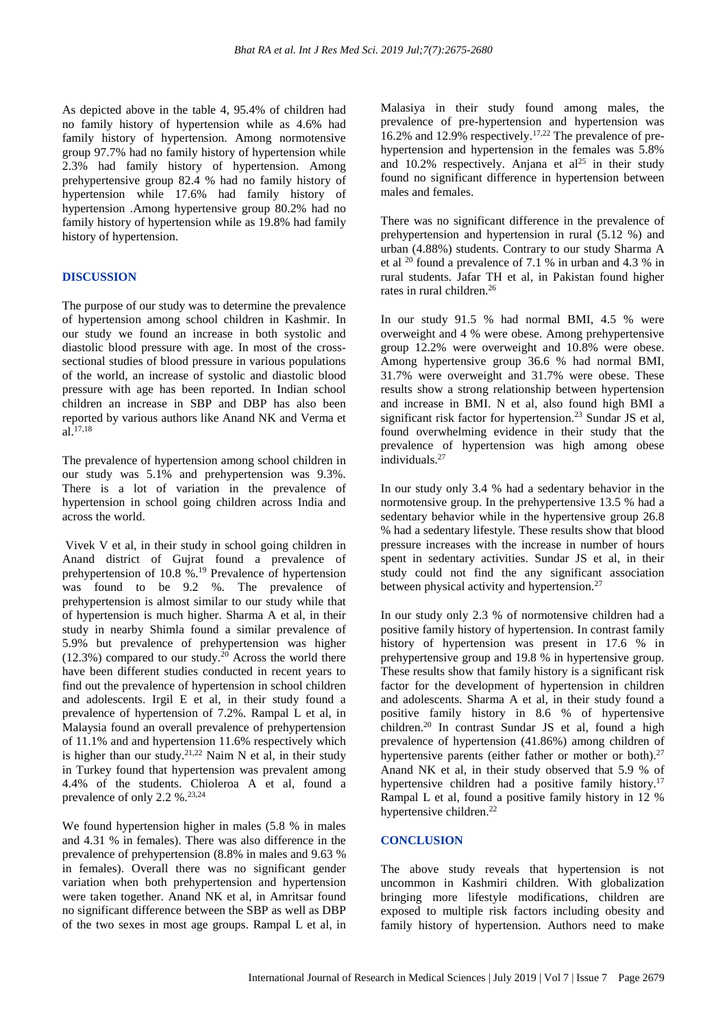As depicted above in the table 4, 95.4% of children had no family history of hypertension while as 4.6% had family history of hypertension. Among normotensive group 97.7% had no family history of hypertension while 2.3% had family history of hypertension. Among prehypertensive group 82.4 % had no family history of hypertension while 17.6% had family history of hypertension .Among hypertensive group 80.2% had no family history of hypertension while as 19.8% had family history of hypertension.

#### **DISCUSSION**

The purpose of our study was to determine the prevalence of hypertension among school children in Kashmir. In our study we found an increase in both systolic and diastolic blood pressure with age. In most of the crosssectional studies of blood pressure in various populations of the world, an increase of systolic and diastolic blood pressure with age has been reported. In Indian school children an increase in SBP and DBP has also been reported by various authors like Anand NK and Verma et al.17,18

The prevalence of hypertension among school children in our study was 5.1% and prehypertension was 9.3%. There is a lot of variation in the prevalence of hypertension in school going children across India and across the world.

Vivek V et al, in their study in school going children in Anand district of Gujrat found a prevalence of prehypertension of 10.8 %.<sup>19</sup> Prevalence of hypertension was found to be 9.2 %. The prevalence of prehypertension is almost similar to our study while that of hypertension is much higher. Sharma A et al, in their study in nearby Shimla found a similar prevalence of 5.9% but prevalence of prehypertension was higher  $(12.3%)$  compared to our study.<sup>20</sup> Across the world there have been different studies conducted in recent years to find out the prevalence of hypertension in school children and adolescents. Irgil E et al, in their study found a prevalence of hypertension of 7.2%. Rampal L et al, in Malaysia found an overall prevalence of prehypertension of 11.1% and and hypertension 11.6% respectively which is higher than our study.<sup>21,22</sup> Naim N et al, in their study in Turkey found that hypertension was prevalent among 4.4% of the students. Chioleroa A et al, found a prevalence of only 2.2 %.<sup>23,24</sup>

We found hypertension higher in males  $(5.8 %$  in males and 4.31 % in females). There was also difference in the prevalence of prehypertension (8.8% in males and 9.63 % in females). Overall there was no significant gender variation when both prehypertension and hypertension were taken together. Anand NK et al, in Amritsar found no significant difference between the SBP as well as DBP of the two sexes in most age groups. Rampal L et al, in Malasiya in their study found among males, the prevalence of pre-hypertension and hypertension was 16.2% and 12.9% respectively.17,22 The prevalence of prehypertension and hypertension in the females was 5.8% and 10.2% respectively. Anjana et  $al^{25}$  in their study found no significant difference in hypertension between males and females.

There was no significant difference in the prevalence of prehypertension and hypertension in rural (5.12 %) and urban (4.88%) students. Contrary to our study Sharma A et al <sup>20</sup> found a prevalence of 7.1 % in urban and 4.3 % in rural students. Jafar TH et al, in Pakistan found higher rates in rural children.<sup>26</sup>

In our study 91.5 % had normal BMI, 4.5 % were overweight and 4 % were obese. Among prehypertensive group 12.2% were overweight and 10.8% were obese. Among hypertensive group 36.6 % had normal BMI, 31.7% were overweight and 31.7% were obese. These results show a strong relationship between hypertension and increase in BMI. N et al, also found high BMI a significant risk factor for hypertension.<sup>23</sup> Sundar JS et al, found overwhelming evidence in their study that the prevalence of hypertension was high among obese individuals.<sup>27</sup>

In our study only 3.4 % had a sedentary behavior in the normotensive group. In the prehypertensive 13.5 % had a sedentary behavior while in the hypertensive group 26.8 % had a sedentary lifestyle. These results show that blood pressure increases with the increase in number of hours spent in sedentary activities. Sundar JS et al, in their study could not find the any significant association between physical activity and hypertension.<sup>27</sup>

In our study only 2.3 % of normotensive children had a positive family history of hypertension. In contrast family history of hypertension was present in 17.6 % in prehypertensive group and 19.8 % in hypertensive group. These results show that family history is a significant risk factor for the development of hypertension in children and adolescents. Sharma A et al, in their study found a positive family history in 8.6 % of hypertensive children.<sup>20</sup> In contrast Sundar JS et al, found a high prevalence of hypertension (41.86%) among children of hypertensive parents (either father or mother or both).<sup>27</sup> Anand NK et al, in their study observed that 5.9 % of hypertensive children had a positive family history.<sup>17</sup> Rampal L et al, found a positive family history in 12 % hypertensive children. 22

#### **CONCLUSION**

The above study reveals that hypertension is not uncommon in Kashmiri children. With globalization bringing more lifestyle modifications, children are exposed to multiple risk factors including obesity and family history of hypertension. Authors need to make